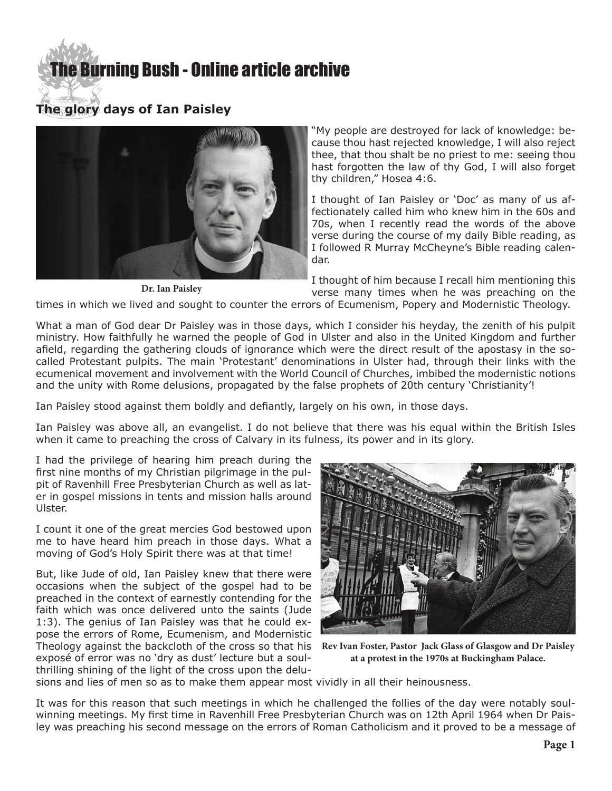# **E** Burning Bush - Online article archive

# **The glory days of Ian Paisley**



**Dr. Ian Paisley**

"My people are destroyed for lack of knowledge: because thou hast rejected knowledge, I will also reject thee, that thou shalt be no priest to me: seeing thou hast forgotten the law of thy God, I will also forget thy children," Hosea 4:6.

I thought of Ian Paisley or 'Doc' as many of us affectionately called him who knew him in the 60s and 70s, when I recently read the words of the above verse during the course of my daily Bible reading, as I followed R Murray McCheyne's Bible reading calendar.

I thought of him because I recall him mentioning this verse many times when he was preaching on the

times in which we lived and sought to counter the errors of Ecumenism, Popery and Modernistic Theology.

What a man of God dear Dr Paisley was in those days, which I consider his heyday, the zenith of his pulpit ministry. How faithfully he warned the people of God in Ulster and also in the United Kingdom and further afield, regarding the gathering clouds of ignorance which were the direct result of the apostasy in the socalled Protestant pulpits. The main 'Protestant' denominations in Ulster had, through their links with the ecumenical movement and involvement with the World Council of Churches, imbibed the modernistic notions and the unity with Rome delusions, propagated by the false prophets of 20th century 'Christianity'!

Ian Paisley stood against them boldly and defiantly, largely on his own, in those days.

Ian Paisley was above all, an evangelist. I do not believe that there was his equal within the British Isles when it came to preaching the cross of Calvary in its fulness, its power and in its glory.

I had the privilege of hearing him preach during the first nine months of my Christian pilgrimage in the pulpit of Ravenhill Free Presbyterian Church as well as later in gospel missions in tents and mission halls around Ulster.

I count it one of the great mercies God bestowed upon me to have heard him preach in those days. What a moving of God's Holy Spirit there was at that time!

But, like Jude of old, Ian Paisley knew that there were occasions when the subject of the gospel had to be preached in the context of earnestly contending for the faith which was once delivered unto the saints (Jude 1:3). The genius of Ian Paisley was that he could expose the errors of Rome, Ecumenism, and Modernistic Theology against the backcloth of the cross so that his **Rev Ivan Foster, Pastor Jack Glass of Glasgow and Dr Paisley**  exposé of error was no 'dry as dust' lecture but a soulthrilling shining of the light of the cross upon the delu-



**at a protest in the 1970s at Buckingham Palace.**

sions and lies of men so as to make them appear most vividly in all their heinousness.

It was for this reason that such meetings in which he challenged the follies of the day were notably soulwinning meetings. My first time in Ravenhill Free Presbyterian Church was on 12th April 1964 when Dr Paisley was preaching his second message on the errors of Roman Catholicism and it proved to be a message of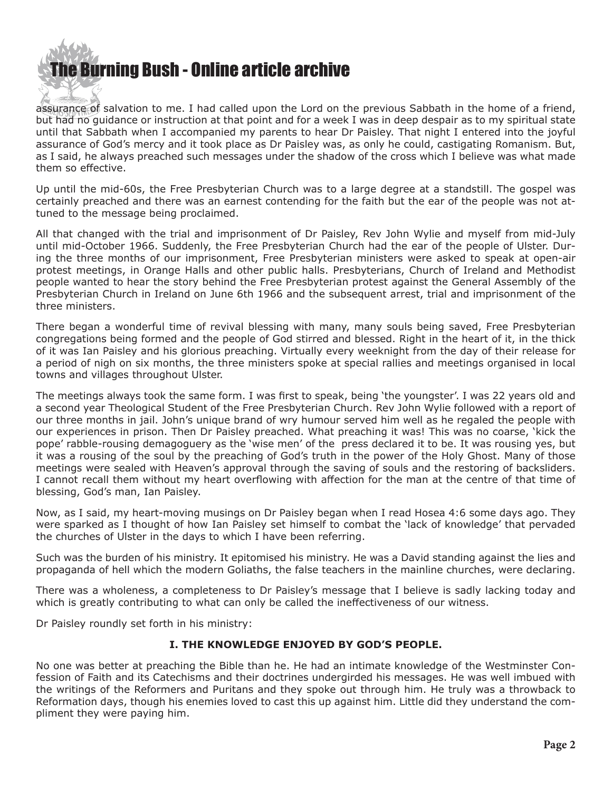

assurance of salvation to me. I had called upon the Lord on the previous Sabbath in the home of a friend, but had no guidance or instruction at that point and for a week I was in deep despair as to my spiritual state until that Sabbath when I accompanied my parents to hear Dr Paisley. That night I entered into the joyful assurance of God's mercy and it took place as Dr Paisley was, as only he could, castigating Romanism. But, as I said, he always preached such messages under the shadow of the cross which I believe was what made them so effective.

Up until the mid-60s, the Free Presbyterian Church was to a large degree at a standstill. The gospel was certainly preached and there was an earnest contending for the faith but the ear of the people was not attuned to the message being proclaimed.

All that changed with the trial and imprisonment of Dr Paisley, Rev John Wylie and myself from mid-July until mid-October 1966. Suddenly, the Free Presbyterian Church had the ear of the people of Ulster. During the three months of our imprisonment, Free Presbyterian ministers were asked to speak at open-air protest meetings, in Orange Halls and other public halls. Presbyterians, Church of Ireland and Methodist people wanted to hear the story behind the Free Presbyterian protest against the General Assembly of the Presbyterian Church in Ireland on June 6th 1966 and the subsequent arrest, trial and imprisonment of the three ministers.

There began a wonderful time of revival blessing with many, many souls being saved, Free Presbyterian congregations being formed and the people of God stirred and blessed. Right in the heart of it, in the thick of it was Ian Paisley and his glorious preaching. Virtually every weeknight from the day of their release for a period of nigh on six months, the three ministers spoke at special rallies and meetings organised in local towns and villages throughout Ulster.

The meetings always took the same form. I was first to speak, being 'the youngster'. I was 22 years old and a second year Theological Student of the Free Presbyterian Church. Rev John Wylie followed with a report of our three months in jail. John's unique brand of wry humour served him well as he regaled the people with our experiences in prison. Then Dr Paisley preached. What preaching it was! This was no coarse, 'kick the pope' rabble-rousing demagoguery as the 'wise men' of the press declared it to be. It was rousing yes, but it was a rousing of the soul by the preaching of God's truth in the power of the Holy Ghost. Many of those meetings were sealed with Heaven's approval through the saving of souls and the restoring of backsliders. I cannot recall them without my heart overflowing with affection for the man at the centre of that time of blessing, God's man, Ian Paisley.

Now, as I said, my heart-moving musings on Dr Paisley began when I read Hosea 4:6 some days ago. They were sparked as I thought of how Ian Paisley set himself to combat the 'lack of knowledge' that pervaded the churches of Ulster in the days to which I have been referring.

Such was the burden of his ministry. It epitomised his ministry. He was a David standing against the lies and propaganda of hell which the modern Goliaths, the false teachers in the mainline churches, were declaring.

There was a wholeness, a completeness to Dr Paisley's message that I believe is sadly lacking today and which is greatly contributing to what can only be called the ineffectiveness of our witness.

Dr Paisley roundly set forth in his ministry:

## **I. THE KNOWLEDGE ENJOYED BY GOD'S PEOPLE.**

No one was better at preaching the Bible than he. He had an intimate knowledge of the Westminster Confession of Faith and its Catechisms and their doctrines undergirded his messages. He was well imbued with the writings of the Reformers and Puritans and they spoke out through him. He truly was a throwback to Reformation days, though his enemies loved to cast this up against him. Little did they understand the compliment they were paying him.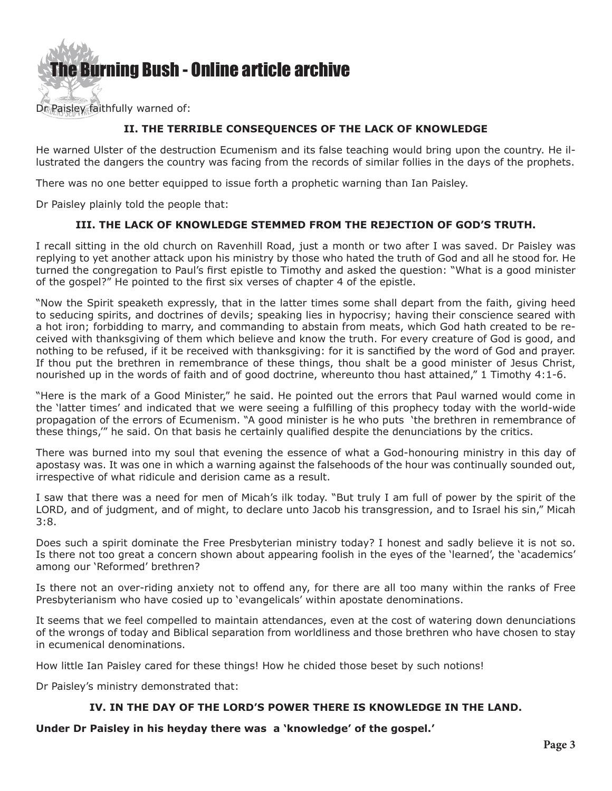The Burning Bush - Online article archive

Dr Paisley faithfully warned of:

# **II. THE TERRIBLE CONSEQUENCES OF THE LACK OF KNOWLEDGE**

He warned Ulster of the destruction Ecumenism and its false teaching would bring upon the country. He illustrated the dangers the country was facing from the records of similar follies in the days of the prophets.

There was no one better equipped to issue forth a prophetic warning than Ian Paisley.

Dr Paisley plainly told the people that:

# **III. THE LACK OF KNOWLEDGE STEMMED FROM THE REJECTION OF GOD'S TRUTH.**

I recall sitting in the old church on Ravenhill Road, just a month or two after I was saved. Dr Paisley was replying to yet another attack upon his ministry by those who hated the truth of God and all he stood for. He turned the congregation to Paul's first epistle to Timothy and asked the question: "What is a good minister of the gospel?" He pointed to the first six verses of chapter 4 of the epistle.

"Now the Spirit speaketh expressly, that in the latter times some shall depart from the faith, giving heed to seducing spirits, and doctrines of devils; speaking lies in hypocrisy; having their conscience seared with a hot iron; forbidding to marry, and commanding to abstain from meats, which God hath created to be received with thanksgiving of them which believe and know the truth. For every creature of God is good, and nothing to be refused, if it be received with thanksgiving: for it is sanctified by the word of God and prayer. If thou put the brethren in remembrance of these things, thou shalt be a good minister of Jesus Christ, nourished up in the words of faith and of good doctrine, whereunto thou hast attained," 1 Timothy 4:1-6.

"Here is the mark of a Good Minister," he said. He pointed out the errors that Paul warned would come in the 'latter times' and indicated that we were seeing a fulfilling of this prophecy today with the world-wide propagation of the errors of Ecumenism. "A good minister is he who puts 'the brethren in remembrance of these things,'" he said. On that basis he certainly qualified despite the denunciations by the critics.

There was burned into my soul that evening the essence of what a God-honouring ministry in this day of apostasy was. It was one in which a warning against the falsehoods of the hour was continually sounded out, irrespective of what ridicule and derision came as a result.

I saw that there was a need for men of Micah's ilk today. "But truly I am full of power by the spirit of the LORD, and of judgment, and of might, to declare unto Jacob his transgression, and to Israel his sin," Micah 3:8.

Does such a spirit dominate the Free Presbyterian ministry today? I honest and sadly believe it is not so. Is there not too great a concern shown about appearing foolish in the eyes of the 'learned', the 'academics' among our 'Reformed' brethren?

Is there not an over-riding anxiety not to offend any, for there are all too many within the ranks of Free Presbyterianism who have cosied up to 'evangelicals' within apostate denominations.

It seems that we feel compelled to maintain attendances, even at the cost of watering down denunciations of the wrongs of today and Biblical separation from worldliness and those brethren who have chosen to stay in ecumenical denominations.

How little Ian Paisley cared for these things! How he chided those beset by such notions!

Dr Paisley's ministry demonstrated that:

## **IV. IN THE DAY OF THE LORD'S POWER THERE IS KNOWLEDGE IN THE LAND.**

**Under Dr Paisley in his heyday there was a 'knowledge' of the gospel.'**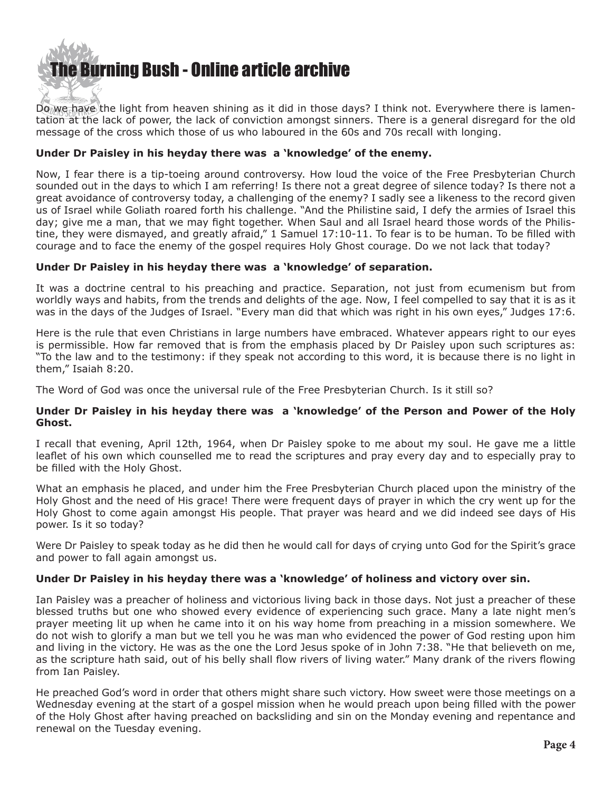

Do we have the light from heaven shining as it did in those days? I think not. Everywhere there is lamentation at the lack of power, the lack of conviction amongst sinners. There is a general disregard for the old message of the cross which those of us who laboured in the 60s and 70s recall with longing.

#### **Under Dr Paisley in his heyday there was a 'knowledge' of the enemy.**

Now, I fear there is a tip-toeing around controversy. How loud the voice of the Free Presbyterian Church sounded out in the days to which I am referring! Is there not a great degree of silence today? Is there not a great avoidance of controversy today, a challenging of the enemy? I sadly see a likeness to the record given us of Israel while Goliath roared forth his challenge. "And the Philistine said, I defy the armies of Israel this day; give me a man, that we may fight together. When Saul and all Israel heard those words of the Philistine, they were dismayed, and greatly afraid," 1 Samuel 17:10-11. To fear is to be human. To be filled with courage and to face the enemy of the gospel requires Holy Ghost courage. Do we not lack that today?

#### **Under Dr Paisley in his heyday there was a 'knowledge' of separation.**

It was a doctrine central to his preaching and practice. Separation, not just from ecumenism but from worldly ways and habits, from the trends and delights of the age. Now, I feel compelled to say that it is as it was in the days of the Judges of Israel. "Every man did that which was right in his own eyes," Judges 17:6.

Here is the rule that even Christians in large numbers have embraced. Whatever appears right to our eyes is permissible. How far removed that is from the emphasis placed by Dr Paisley upon such scriptures as: "To the law and to the testimony: if they speak not according to this word, it is because there is no light in them," Isaiah 8:20.

The Word of God was once the universal rule of the Free Presbyterian Church. Is it still so?

#### **Under Dr Paisley in his heyday there was a 'knowledge' of the Person and Power of the Holy Ghost.**

I recall that evening, April 12th, 1964, when Dr Paisley spoke to me about my soul. He gave me a little leaflet of his own which counselled me to read the scriptures and pray every day and to especially pray to be filled with the Holy Ghost.

What an emphasis he placed, and under him the Free Presbyterian Church placed upon the ministry of the Holy Ghost and the need of His grace! There were frequent days of prayer in which the cry went up for the Holy Ghost to come again amongst His people. That prayer was heard and we did indeed see days of His power. Is it so today?

Were Dr Paisley to speak today as he did then he would call for days of crying unto God for the Spirit's grace and power to fall again amongst us.

#### **Under Dr Paisley in his heyday there was a 'knowledge' of holiness and victory over sin.**

Ian Paisley was a preacher of holiness and victorious living back in those days. Not just a preacher of these blessed truths but one who showed every evidence of experiencing such grace. Many a late night men's prayer meeting lit up when he came into it on his way home from preaching in a mission somewhere. We do not wish to glorify a man but we tell you he was man who evidenced the power of God resting upon him and living in the victory. He was as the one the Lord Jesus spoke of in John 7:38. "He that believeth on me, as the scripture hath said, out of his belly shall flow rivers of living water." Many drank of the rivers flowing from Ian Paisley.

He preached God's word in order that others might share such victory. How sweet were those meetings on a Wednesday evening at the start of a gospel mission when he would preach upon being filled with the power of the Holy Ghost after having preached on backsliding and sin on the Monday evening and repentance and renewal on the Tuesday evening.